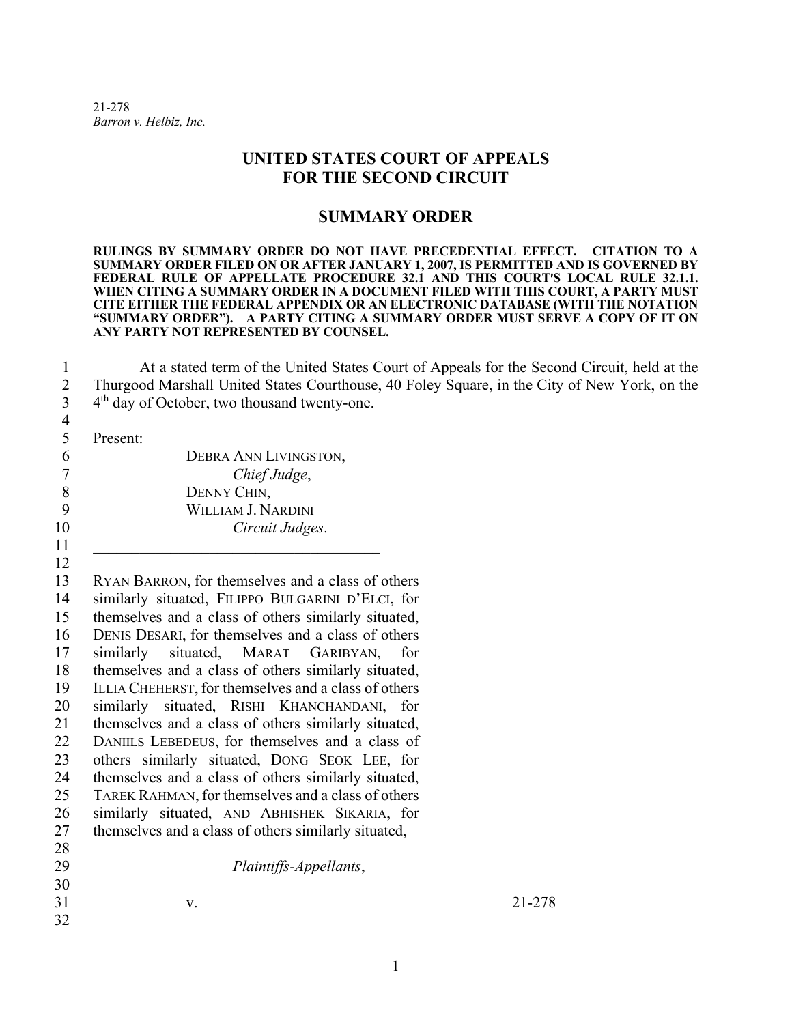21-278 *Barron v. Helbiz, Inc.* 

## **UNITED STATES COURT OF APPEALS FOR THE SECOND CIRCUIT**

## **SUMMARY ORDER**

**RULINGS BY SUMMARY ORDER DO NOT HAVE PRECEDENTIAL EFFECT. CITATION TO A SUMMARY ORDER FILED ON OR AFTER JANUARY 1, 2007, IS PERMITTED AND IS GOVERNED BY**  FEDERAL RULE OF APPELLATE PROCEDURE 32.1 AND THIS COURT'S LOCAL RULE 32.1.1. **WHEN CITING A SUMMARY ORDER IN A DOCUMENT FILED WITH THIS COURT, A PARTY MUST CITE EITHER THE FEDERAL APPENDIX OR AN ELECTRONIC DATABASE (WITH THE NOTATION "SUMMARY ORDER"). A PARTY CITING A SUMMARY ORDER MUST SERVE A COPY OF IT ON ANY PARTY NOT REPRESENTED BY COUNSEL.** 

 At a stated term of the United States Court of Appeals for the Second Circuit, held at the Thurgood Marshall United States Courthouse, 40 Foley Square, in the City of New York, on the  $4<sup>th</sup>$  day of October, two thousand twenty-one.

Present:

|    | DEBRA ANN LIVINGSTON,     |
|----|---------------------------|
|    | Chief Judge,              |
|    | DENNY CHIN,               |
|    | <b>WILLIAM J. NARDINI</b> |
| 10 | Circuit Judges.           |
| 11 |                           |

 RYAN BARRON, for themselves and a class of others similarly situated, FILIPPO BULGARINI D'ELCI, for themselves and a class of others similarly situated, DENIS DESARI, for themselves and a class of others 17 similarly situated, MARAT GARIBYAN, themselves and a class of others similarly situated, ILLIA CHEHERST, for themselves and a class of others similarly situated, RISHI KHANCHANDANI, for themselves and a class of others similarly situated, DANIILS LEBEDEUS, for themselves and a class of others similarly situated, DONG SEOK LEE, for themselves and a class of others similarly situated, TAREK RAHMAN, for themselves and a class of others similarly situated, AND ABHISHEK SIKARIA, for themselves and a class of others similarly situated, 

 *Plaintiffs-Appellants*, v. 21-278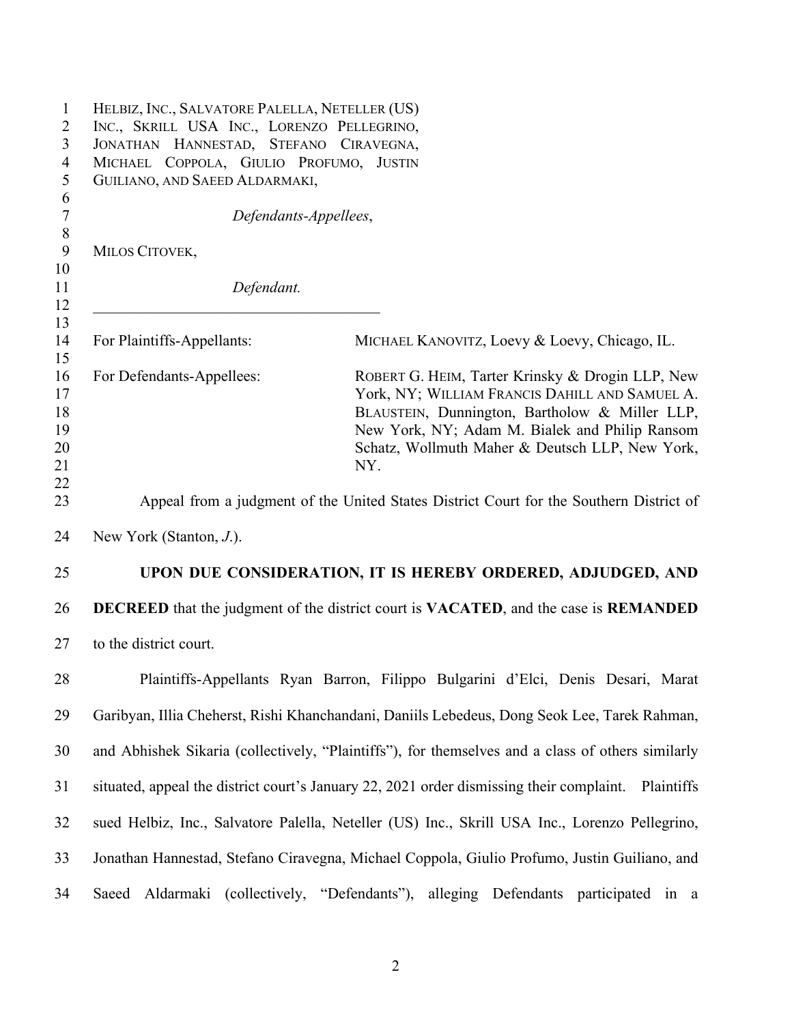| $\mathbf{1}$<br>$\overline{2}$   | HELBIZ, INC., SALVATORE PALELLA, NETELLER (US)<br>INC., SKRILL USA INC., LORENZO PELLEGRINO,               |                                                                                                                                                                                                                                                                  |  |  |
|----------------------------------|------------------------------------------------------------------------------------------------------------|------------------------------------------------------------------------------------------------------------------------------------------------------------------------------------------------------------------------------------------------------------------|--|--|
| 3                                | JONATHAN HANNESTAD, STEFANO CIRAVEGNA,                                                                     |                                                                                                                                                                                                                                                                  |  |  |
| $\overline{4}$                   | MICHAEL COPPOLA, GIULIO PROFUMO, JUSTIN                                                                    |                                                                                                                                                                                                                                                                  |  |  |
| 5                                | GUILIANO, AND SAEED ALDARMAKI,                                                                             |                                                                                                                                                                                                                                                                  |  |  |
| 6<br>$\overline{7}$              | Defendants-Appellees,                                                                                      |                                                                                                                                                                                                                                                                  |  |  |
| $\,8\,$<br>$\boldsymbol{9}$      | MILOS CITOVEK,                                                                                             |                                                                                                                                                                                                                                                                  |  |  |
| 10                               |                                                                                                            |                                                                                                                                                                                                                                                                  |  |  |
| 11                               | Defendant.                                                                                                 |                                                                                                                                                                                                                                                                  |  |  |
| 12                               |                                                                                                            |                                                                                                                                                                                                                                                                  |  |  |
| 13<br>14<br>15                   | For Plaintiffs-Appellants:                                                                                 | MICHAEL KANOVITZ, Loevy & Loevy, Chicago, IL.                                                                                                                                                                                                                    |  |  |
| 16<br>17<br>18<br>19<br>20<br>21 | For Defendants-Appellees:                                                                                  | ROBERT G. HEIM, Tarter Krinsky & Drogin LLP, New<br>York, NY; WILLIAM FRANCIS DAHILL AND SAMUEL A.<br>BLAUSTEIN, Dunnington, Bartholow & Miller LLP,<br>New York, NY; Adam M. Bialek and Philip Ransom<br>Schatz, Wollmuth Maher & Deutsch LLP, New York,<br>NY. |  |  |
| 22<br>23                         |                                                                                                            | Appeal from a judgment of the United States District Court for the Southern District of                                                                                                                                                                          |  |  |
| 24                               | New York (Stanton, $J$ .).                                                                                 |                                                                                                                                                                                                                                                                  |  |  |
| 25                               |                                                                                                            | UPON DUE CONSIDERATION, IT IS HEREBY ORDERED, ADJUDGED, AND                                                                                                                                                                                                      |  |  |
| 26                               | <b>DECREED</b> that the judgment of the district court is <b>VACATED</b> , and the case is <b>REMANDED</b> |                                                                                                                                                                                                                                                                  |  |  |
| 27                               | to the district court.                                                                                     |                                                                                                                                                                                                                                                                  |  |  |
| 28                               |                                                                                                            | Plaintiffs-Appellants Ryan Barron, Filippo Bulgarini d'Elci, Denis Desari, Marat                                                                                                                                                                                 |  |  |
| 29                               |                                                                                                            | Garibyan, Illia Cheherst, Rishi Khanchandani, Daniils Lebedeus, Dong Seok Lee, Tarek Rahman,                                                                                                                                                                     |  |  |
| 30                               |                                                                                                            | and Abhishek Sikaria (collectively, "Plaintiffs"), for themselves and a class of others similarly                                                                                                                                                                |  |  |
| 31                               |                                                                                                            | situated, appeal the district court's January 22, 2021 order dismissing their complaint. Plaintiffs                                                                                                                                                              |  |  |
| 32                               |                                                                                                            | sued Helbiz, Inc., Salvatore Palella, Neteller (US) Inc., Skrill USA Inc., Lorenzo Pellegrino,                                                                                                                                                                   |  |  |
| 33                               |                                                                                                            | Jonathan Hannestad, Stefano Ciravegna, Michael Coppola, Giulio Profumo, Justin Guiliano, and                                                                                                                                                                     |  |  |
| 34                               |                                                                                                            | Saeed Aldarmaki (collectively, "Defendants"), alleging Defendants participated in a                                                                                                                                                                              |  |  |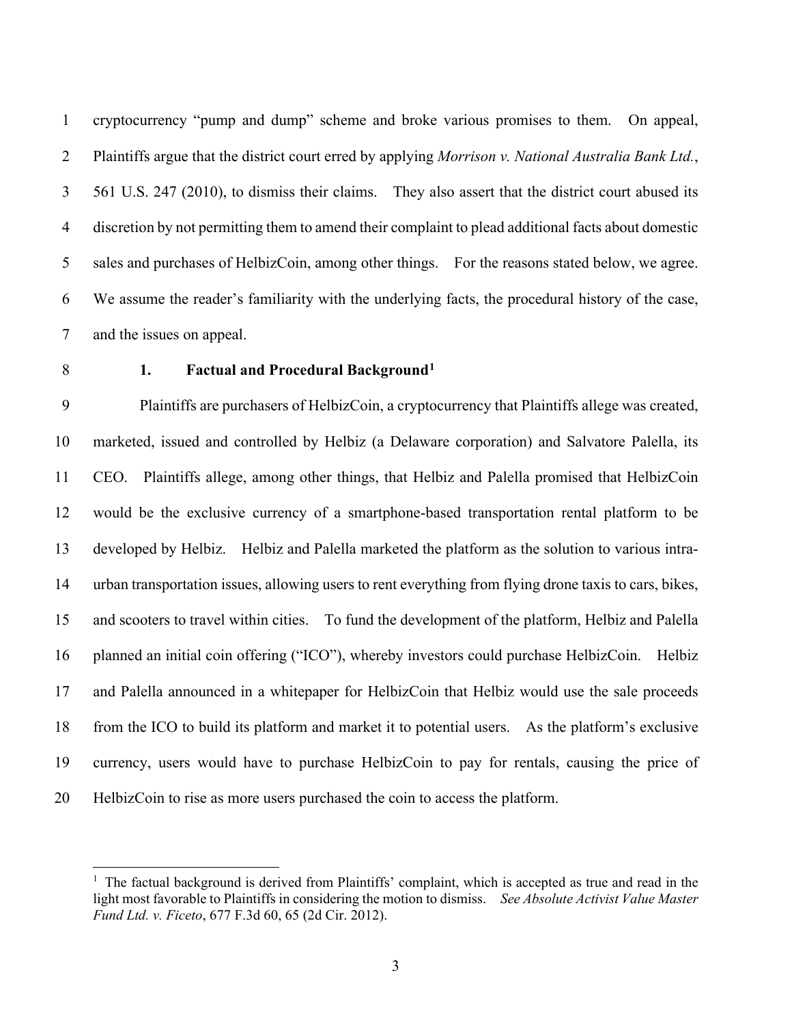cryptocurrency "pump and dump" scheme and broke various promises to them. On appeal, Plaintiffs argue that the district court erred by applying *Morrison v. National Australia Bank Ltd.*, 561 U.S. 247 (2010), to dismiss their claims. They also assert that the district court abused its discretion by not permitting them to amend their complaint to plead additional facts about domestic sales and purchases of HelbizCoin, among other things. For the reasons stated below, we agree. We assume the reader's familiarity with the underlying facts, the procedural history of the case, and the issues on appeal.

## **1. Factual and Procedural Background[1](#page-2-0)**

 Plaintiffs are purchasers of HelbizCoin, a cryptocurrency that Plaintiffs allege was created, marketed, issued and controlled by Helbiz (a Delaware corporation) and Salvatore Palella, its CEO. Plaintiffs allege, among other things, that Helbiz and Palella promised that HelbizCoin would be the exclusive currency of a smartphone-based transportation rental platform to be developed by Helbiz. Helbiz and Palella marketed the platform as the solution to various intra- urban transportation issues, allowing users to rent everything from flying drone taxis to cars, bikes, and scooters to travel within cities. To fund the development of the platform, Helbiz and Palella planned an initial coin offering ("ICO"), whereby investors could purchase HelbizCoin. Helbiz and Palella announced in a whitepaper for HelbizCoin that Helbiz would use the sale proceeds from the ICO to build its platform and market it to potential users. As the platform's exclusive currency, users would have to purchase HelbizCoin to pay for rentals, causing the price of HelbizCoin to rise as more users purchased the coin to access the platform.

<span id="page-2-0"></span><sup>&</sup>lt;sup>1</sup> The factual background is derived from Plaintiffs' complaint, which is accepted as true and read in the light most favorable to Plaintiffs in considering the motion to dismiss. *See Absolute Activist Value Master Fund Ltd. v. Ficeto*, 677 F.3d 60, 65 (2d Cir. 2012).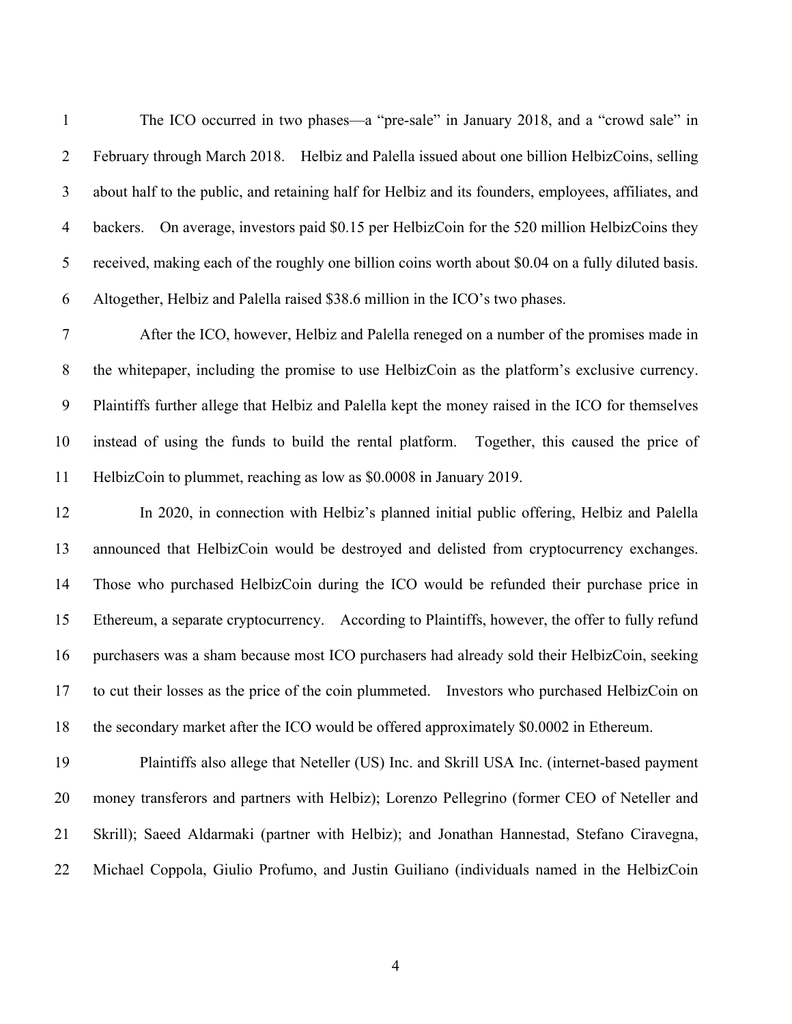The ICO occurred in two phases—a "pre-sale" in January 2018, and a "crowd sale" in February through March 2018. Helbiz and Palella issued about one billion HelbizCoins, selling about half to the public, and retaining half for Helbiz and its founders, employees, affiliates, and backers. On average, investors paid \$0.15 per HelbizCoin for the 520 million HelbizCoins they received, making each of the roughly one billion coins worth about \$0.04 on a fully diluted basis. Altogether, Helbiz and Palella raised \$38.6 million in the ICO's two phases.

 After the ICO, however, Helbiz and Palella reneged on a number of the promises made in the whitepaper, including the promise to use HelbizCoin as the platform's exclusive currency. Plaintiffs further allege that Helbiz and Palella kept the money raised in the ICO for themselves instead of using the funds to build the rental platform. Together, this caused the price of HelbizCoin to plummet, reaching as low as \$0.0008 in January 2019.

 In 2020, in connection with Helbiz's planned initial public offering, Helbiz and Palella announced that HelbizCoin would be destroyed and delisted from cryptocurrency exchanges. Those who purchased HelbizCoin during the ICO would be refunded their purchase price in Ethereum, a separate cryptocurrency. According to Plaintiffs, however, the offer to fully refund purchasers was a sham because most ICO purchasers had already sold their HelbizCoin, seeking to cut their losses as the price of the coin plummeted. Investors who purchased HelbizCoin on the secondary market after the ICO would be offered approximately \$0.0002 in Ethereum.

 Plaintiffs also allege that Neteller (US) Inc. and Skrill USA Inc. (internet-based payment money transferors and partners with Helbiz); Lorenzo Pellegrino (former CEO of Neteller and Skrill); Saeed Aldarmaki (partner with Helbiz); and Jonathan Hannestad, Stefano Ciravegna, Michael Coppola, Giulio Profumo, and Justin Guiliano (individuals named in the HelbizCoin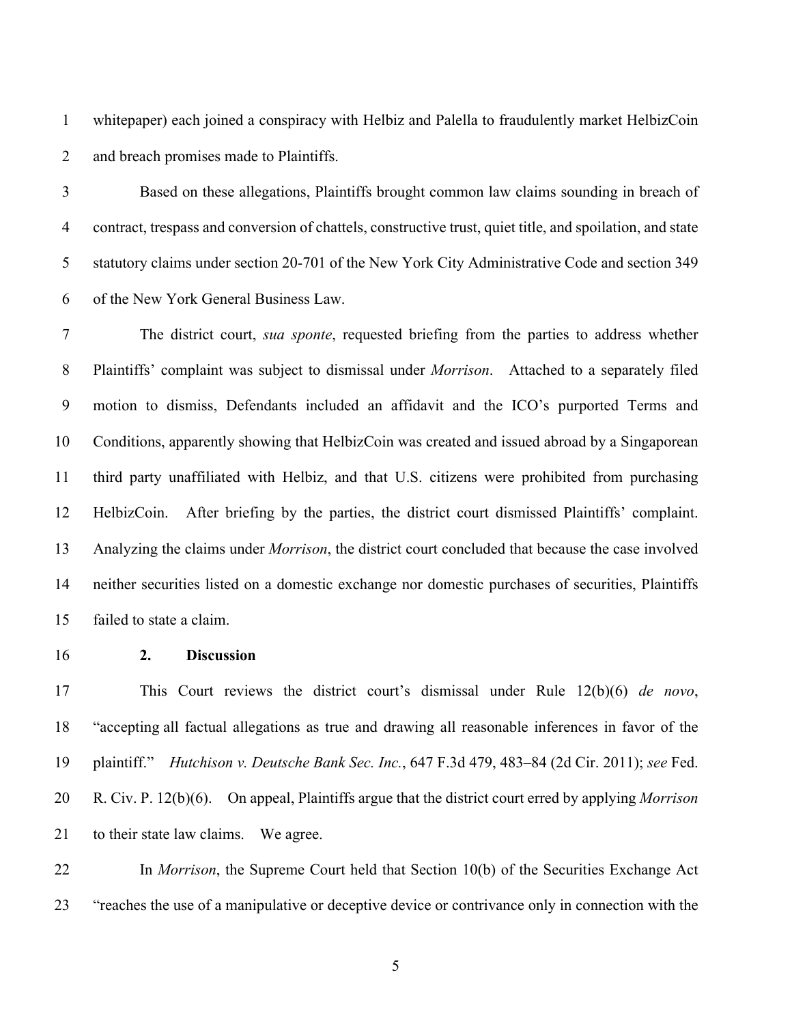whitepaper) each joined a conspiracy with Helbiz and Palella to fraudulently market HelbizCoin and breach promises made to Plaintiffs.

 Based on these allegations, Plaintiffs brought common law claims sounding in breach of contract, trespass and conversion of chattels, constructive trust, quiet title, and spoilation, and state statutory claims under section 20-701 of the New York City Administrative Code and section 349 of the New York General Business Law.

 The district court, *sua sponte*, requested briefing from the parties to address whether Plaintiffs' complaint was subject to dismissal under *Morrison*. Attached to a separately filed motion to dismiss, Defendants included an affidavit and the ICO's purported Terms and Conditions, apparently showing that HelbizCoin was created and issued abroad by a Singaporean third party unaffiliated with Helbiz, and that U.S. citizens were prohibited from purchasing HelbizCoin. After briefing by the parties, the district court dismissed Plaintiffs' complaint. Analyzing the claims under *Morrison*, the district court concluded that because the case involved neither securities listed on a domestic exchange nor domestic purchases of securities, Plaintiffs failed to state a claim.

**2. Discussion**

 This Court reviews the district court's dismissal under Rule 12(b)(6) *de novo*, "accepting all factual allegations as true and drawing all reasonable inferences in favor of the plaintiff." *Hutchison v. Deutsche Bank Sec. Inc.*, 647 F.3d 479, 483–84 (2d Cir. 2011); *see* Fed. R. Civ. P. 12(b)(6). On appeal, Plaintiffs argue that the district court erred by applying *Morrison* 21 to their state law claims. We agree.

 In *Morrison*, the Supreme Court held that Section 10(b) of the Securities Exchange Act "reaches the use of a manipulative or deceptive device or contrivance only in connection with the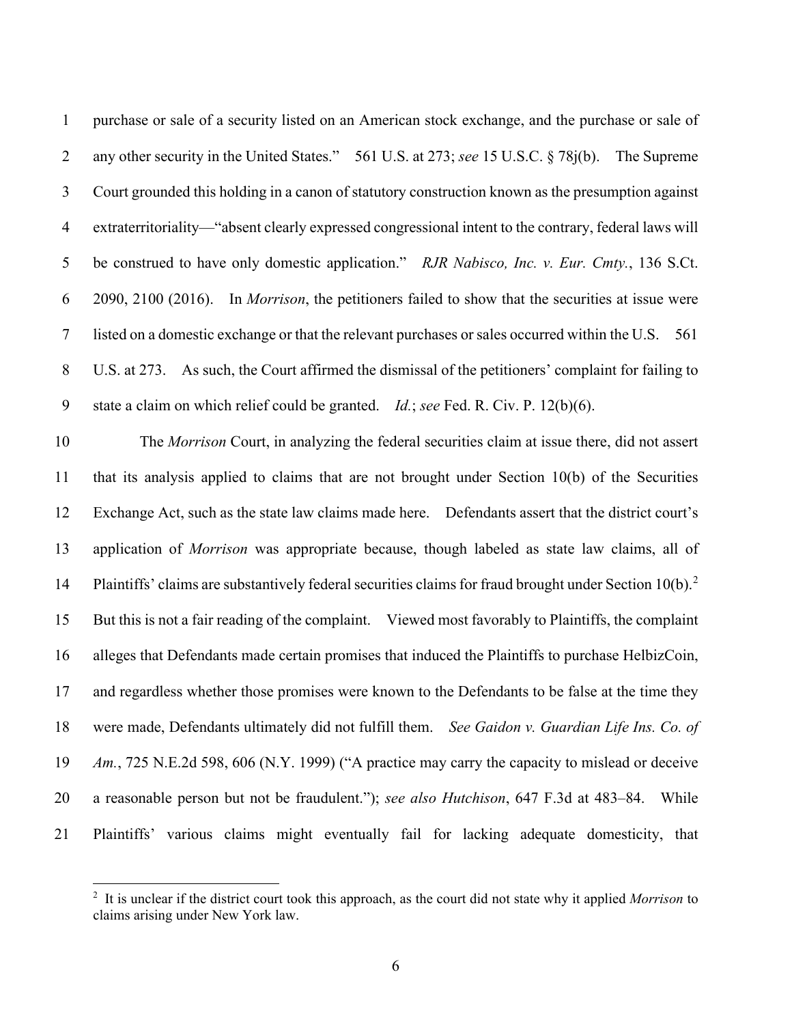purchase or sale of a security listed on an American stock exchange, and the purchase or sale of any other security in the United States." 561 U.S. at 273; *see* 15 U.S.C. § 78j(b). The Supreme Court grounded this holding in a canon of statutory construction known as the presumption against extraterritoriality—"absent clearly expressed congressional intent to the contrary, federal laws will be construed to have only domestic application." *RJR Nabisco, Inc. v. Eur. Cmty.*, 136 S.Ct. 2090, 2100 (2016). In *Morrison*, the petitioners failed to show that the securities at issue were listed on a domestic exchange or that the relevant purchases or sales occurred within the U.S. 561 U.S. at 273. As such, the Court affirmed the dismissal of the petitioners' complaint for failing to state a claim on which relief could be granted. *Id.*; *see* Fed. R. Civ. P. 12(b)(6).

 The *Morrison* Court, in analyzing the federal securities claim at issue there, did not assert that its analysis applied to claims that are not brought under Section 10(b) of the Securities Exchange Act, such as the state law claims made here. Defendants assert that the district court's application of *Morrison* was appropriate because, though labeled as state law claims, all of 14 Plaintiffs' claims are substantively federal securities claims for fraud brought under Section 10(b).<sup>[2](#page-5-0)</sup> But this is not a fair reading of the complaint. Viewed most favorably to Plaintiffs, the complaint alleges that Defendants made certain promises that induced the Plaintiffs to purchase HelbizCoin, and regardless whether those promises were known to the Defendants to be false at the time they were made, Defendants ultimately did not fulfill them. *See Gaidon v. Guardian Life Ins. Co. of Am.*, 725 N.E.2d 598, 606 (N.Y. 1999) ("A practice may carry the capacity to mislead or deceive a reasonable person but not be fraudulent."); *see also Hutchison*, 647 F.3d at 483–84. While Plaintiffs' various claims might eventually fail for lacking adequate domesticity, that

<span id="page-5-0"></span> It is unclear if the district court took this approach, as the court did not state why it applied *Morrison* to claims arising under New York law.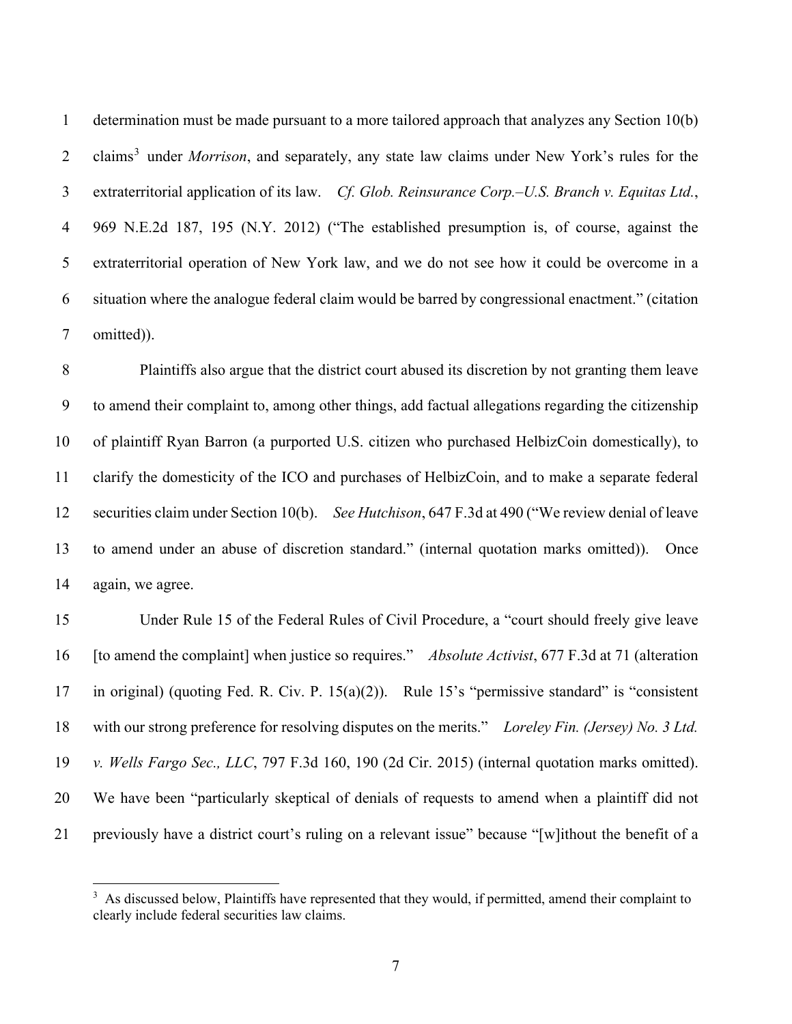determination must be made pursuant to a more tailored approach that analyzes any Section 10(b) 2 claims<sup>[3](#page-6-0)</sup> under *Morrison*, and separately, any state law claims under New York's rules for the extraterritorial application of its law. *Cf. Glob. Reinsurance Corp.–U.S. Branch v. Equitas Ltd.*, 969 N.E.2d 187, 195 (N.Y. 2012) ("The established presumption is, of course, against the extraterritorial operation of New York law, and we do not see how it could be overcome in a situation where the analogue federal claim would be barred by congressional enactment." (citation omitted)).

 Plaintiffs also argue that the district court abused its discretion by not granting them leave to amend their complaint to, among other things, add factual allegations regarding the citizenship of plaintiff Ryan Barron (a purported U.S. citizen who purchased HelbizCoin domestically), to clarify the domesticity of the ICO and purchases of HelbizCoin, and to make a separate federal securities claim under Section 10(b). *See Hutchison*, 647 F.3d at 490 ("We review denial of leave to amend under an abuse of discretion standard." (internal quotation marks omitted)). Once again, we agree.

 Under Rule 15 of the Federal Rules of Civil Procedure, a "court should freely give leave [to amend the complaint] when justice so requires." *Absolute Activist*, 677 F.3d at 71 (alteration in original) (quoting Fed. R. Civ. P. 15(a)(2)). Rule 15's "permissive standard" is "consistent with our strong preference for resolving disputes on the merits." *Loreley Fin. (Jersey) No. 3 Ltd. v. Wells Fargo Sec., LLC*, 797 F.3d 160, 190 (2d Cir. 2015) (internal quotation marks omitted). We have been "particularly skeptical of denials of requests to amend when a plaintiff did not previously have a district court's ruling on a relevant issue" because "[w]ithout the benefit of a

<span id="page-6-0"></span> $3\,$  As discussed below, Plaintiffs have represented that they would, if permitted, amend their complaint to clearly include federal securities law claims.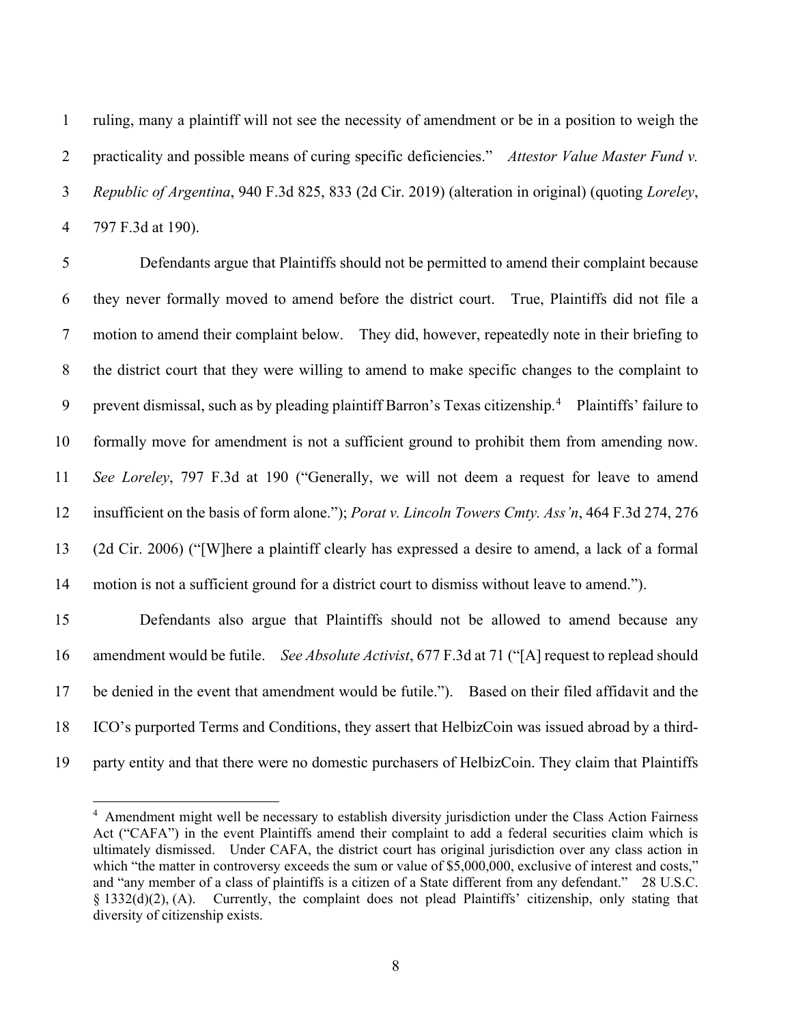ruling, many a plaintiff will not see the necessity of amendment or be in a position to weigh the practicality and possible means of curing specific deficiencies." *Attestor Value Master Fund v. Republic of Argentina*, 940 F.3d 825, 833 (2d Cir. 2019) (alteration in original) (quoting *Loreley*, 797 F.3d at 190).

 Defendants argue that Plaintiffs should not be permitted to amend their complaint because they never formally moved to amend before the district court. True, Plaintiffs did not file a motion to amend their complaint below. They did, however, repeatedly note in their briefing to the district court that they were willing to amend to make specific changes to the complaint to 9 prevent dismissal, such as by pleading plaintiff Barron's Texas citizenship.<sup>[4](#page-7-0)</sup> Plaintiffs' failure to formally move for amendment is not a sufficient ground to prohibit them from amending now. *See Loreley*, 797 F.3d at 190 ("Generally, we will not deem a request for leave to amend insufficient on the basis of form alone."); *Porat v. Lincoln Towers Cmty. Ass'n*, 464 F.3d 274, 276 (2d Cir. 2006) ("[W]here a plaintiff clearly has expressed a desire to amend, a lack of a formal motion is not a sufficient ground for a district court to dismiss without leave to amend."). Defendants also argue that Plaintiffs should not be allowed to amend because any

 amendment would be futile. *See Absolute Activist*, 677 F.3d at 71 ("[A] request to replead should be denied in the event that amendment would be futile."). Based on their filed affidavit and the

ICO's purported Terms and Conditions, they assert that HelbizCoin was issued abroad by a third-

<span id="page-7-0"></span>party entity and that there were no domestic purchasers of HelbizCoin. They claim that Plaintiffs

<sup>&</sup>lt;sup>4</sup> Amendment might well be necessary to establish diversity jurisdiction under the Class Action Fairness Act ("CAFA") in the event Plaintiffs amend their complaint to add a federal securities claim which is ultimately dismissed. Under CAFA, the district court has original jurisdiction over any class action in which "the matter in controversy exceeds the sum or value of \$5,000,000, exclusive of interest and costs," and "any member of a class of plaintiffs is a citizen of a State different from any defendant." 28 U.S.C. § 1332(d)(2), (A). Currently, the complaint does not plead Plaintiffs' citizenship, only stating that diversity of citizenship exists.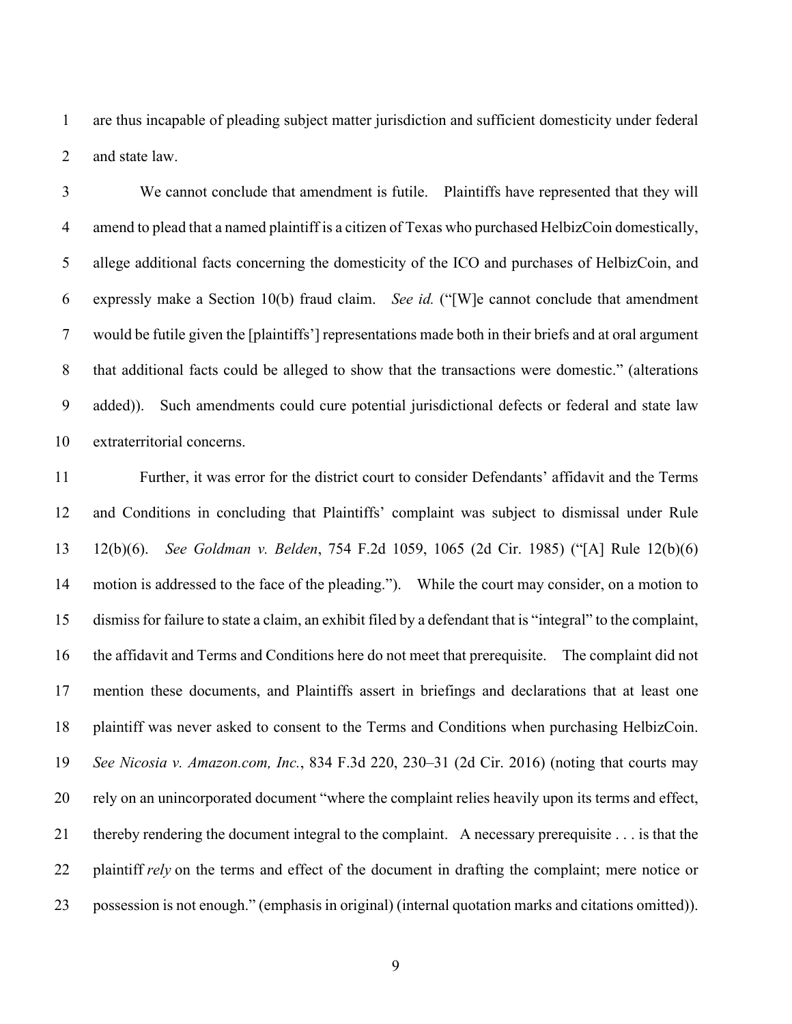are thus incapable of pleading subject matter jurisdiction and sufficient domesticity under federal and state law.

 We cannot conclude that amendment is futile. Plaintiffs have represented that they will amend to plead that a named plaintiff is a citizen of Texas who purchased HelbizCoin domestically, allege additional facts concerning the domesticity of the ICO and purchases of HelbizCoin, and expressly make a Section 10(b) fraud claim. *See id.* ("[W]e cannot conclude that amendment would be futile given the [plaintiffs'] representations made both in their briefs and at oral argument that additional facts could be alleged to show that the transactions were domestic." (alterations added)). Such amendments could cure potential jurisdictional defects or federal and state law extraterritorial concerns.

 Further, it was error for the district court to consider Defendants' affidavit and the Terms and Conditions in concluding that Plaintiffs' complaint was subject to dismissal under Rule 12(b)(6). *See Goldman v. Belden*, 754 F.2d 1059, 1065 (2d Cir. 1985) ("[A] Rule 12(b)(6) motion is addressed to the face of the pleading."). While the court may consider, on a motion to dismissfor failure to state a claim, an exhibit filed by a defendant that is "integral" to the complaint, the affidavit and Terms and Conditions here do not meet that prerequisite. The complaint did not mention these documents, and Plaintiffs assert in briefings and declarations that at least one plaintiff was never asked to consent to the Terms and Conditions when purchasing HelbizCoin. *See Nicosia v. Amazon.com, Inc.*, 834 F.3d 220, 230–31 (2d Cir. 2016) (noting that courts may rely on an unincorporated document "where the complaint relies heavily upon its terms and effect, thereby rendering the document integral to the complaint. A necessary prerequisite . . . is that the plaintiff *rely* on the terms and effect of the document in drafting the complaint; mere notice or possession is not enough." (emphasis in original) (internal quotation marks and citations omitted)).